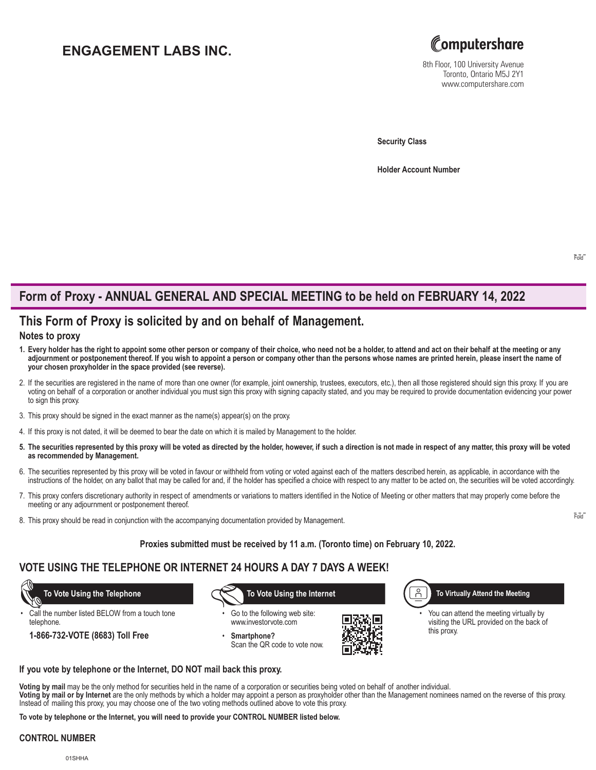# **ENGAGEMENT LABS INC.**



8th Floor, 100 University Avenue Toronto, Ontario M5J 2Y1 www.computershare.com

**Security Class**

**Holder Account Number** 

# **Form of Proxy - ANNUAL GENERAL AND SPECIAL MEETING to be held on FEBRUARY 14, 2022**

## **This Form of Proxy is solicited by and on behalf of Management.**

### **Notes to proxy**

- **1. Every holder has the right to appoint some other person or company of their choice, who need not be a holder, to attend and act on their behalf at the meeting or any adjournment or postponement thereof. If you wish to appoint a person or company other than the persons whose names are printed herein, please insert the name of your chosen proxyholder in the space provided (see reverse).**
- 2. If the securities are registered in the name of more than one owner (for example, joint ownership, trustees, executors, etc.), then all those registered should sign this proxy. If you are voting on behalf of a corporation or another individual you must sign this proxy with signing capacity stated, and you may be required to provide documentation evidencing your power to sign this proxy.
- 3. This proxy should be signed in the exact manner as the name(s) appear(s) on the proxy.
- 4. If this proxy is not dated, it will be deemed to bear the date on which it is mailed by Management to the holder.
- **5. The securities represented by this proxy will be voted as directed by the holder, however, if such a direction is not made in respect of any matter, this proxy will be voted as recommended by Management.**
- 6. The securities represented by this proxy will be voted in favour or withheld from voting or voted against each of the matters described herein, as applicable, in accordance with the instructions of the holder, on any ballot that may be called for and, if the holder has specified a choice with respect to any matter to be acted on, the securities will be voted accordingly.
- 7. This proxy confers discretionary authority in respect of amendments or variations to matters identified in the Notice of Meeting or other matters that may properly come before the meeting or any adjournment or postponement thereof.
- 8. This proxy should be read in conjunction with the accompanying documentation provided by Management.

#### **Proxies submitted must be received by 11 a.m. (Toronto time) on February 10, 2022.**

## **VOTE USING THE TELEPHONE OR INTERNET 24 HOURS A DAY 7 DAYS A WEEK!**

Call the number listed BELOW from a touch tone telephone.

**1-866-732-VOTE (8683) Toll Free**

 **To Vote Using the Telephone To Vote Using the Internet**

Go to the following web site: www.investorvote.com

• **Smartphone?** Scan the QR code to vote now.



**To Virtually Attend the Meeting**

You can attend the meeting virtually by visiting the URL provided on the back of this proxy.

#### **If you vote by telephone or the Internet, DO NOT mail back this proxy.**

**Voting by mail** may be the only method for securities held in the name of a corporation or securities being voted on behalf of another individual. **Voting by mail or by Internet** are the only methods by which a holder may appoint a person as proxyholder other than the Management nominees named on the reverse of this proxy.

Instead of mailing this proxy, you may choose one of the two voting methods outlined above to vote this proxy.

**To vote by telephone or the Internet, you will need to provide your CONTROL NUMBER listed below.**

### **CONTROL NUMBER**